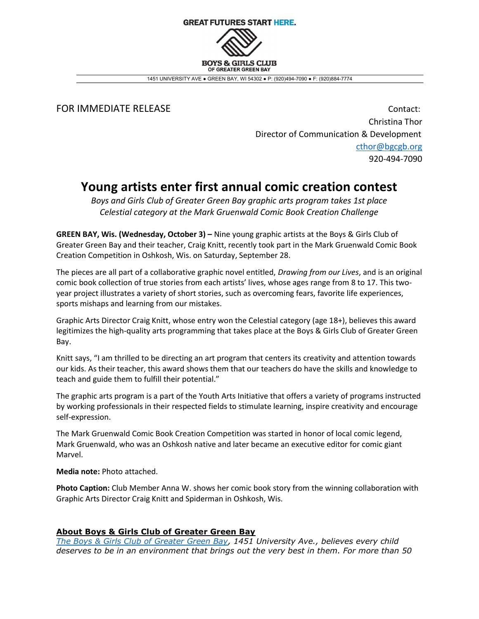**GREAT FUTURES START HERE. BOYS & GIBLS CLUB** OF GREATER GREEN BAY

1451 UNIVERSITY AVE ● GREEN BAY, WI 54302 ● P: (920)494-7090 ● F: (920)884-7774

FOR IMMEDIATE RELEASE **Contact:** Contact: Christina Thor Director of Communication & Development cthor@bgcgb.org 920-494-7090

## Young artists enter first annual comic creation contest

Boys and Girls Club of Greater Green Bay graphic arts program takes 1st place Celestial category at the Mark Gruenwald Comic Book Creation Challenge

GREEN BAY, Wis. (Wednesday, October 3) – Nine young graphic artists at the Boys & Girls Club of Greater Green Bay and their teacher, Craig Knitt, recently took part in the Mark Gruenwald Comic Book Creation Competition in Oshkosh, Wis. on Saturday, September 28.

The pieces are all part of a collaborative graphic novel entitled, *Drawing from our Lives*, and is an original comic book collection of true stories from each artists' lives, whose ages range from 8 to 17. This twoyear project illustrates a variety of short stories, such as overcoming fears, favorite life experiences, sports mishaps and learning from our mistakes.

Graphic Arts Director Craig Knitt, whose entry won the Celestial category (age 18+), believes this award legitimizes the high-quality arts programming that takes place at the Boys & Girls Club of Greater Green Bay.

Knitt says, "I am thrilled to be directing an art program that centers its creativity and attention towards our kids. As their teacher, this award shows them that our teachers do have the skills and knowledge to teach and guide them to fulfill their potential."

The graphic arts program is a part of the Youth Arts Initiative that offers a variety of programs instructed by working professionals in their respected fields to stimulate learning, inspire creativity and encourage self-expression.

The Mark Gruenwald Comic Book Creation Competition was started in honor of local comic legend, Mark Gruenwald, who was an Oshkosh native and later became an executive editor for comic giant Marvel.

Media note: Photo attached.

Photo Caption: Club Member Anna W. shows her comic book story from the winning collaboration with Graphic Arts Director Craig Knitt and Spiderman in Oshkosh, Wis.

## About Boys & Girls Club of Greater Green Bay

The Boys & Girls Club of Greater Green Bay, 1451 University Ave., believes every child deserves to be in an environment that brings out the very best in them. For more than 50